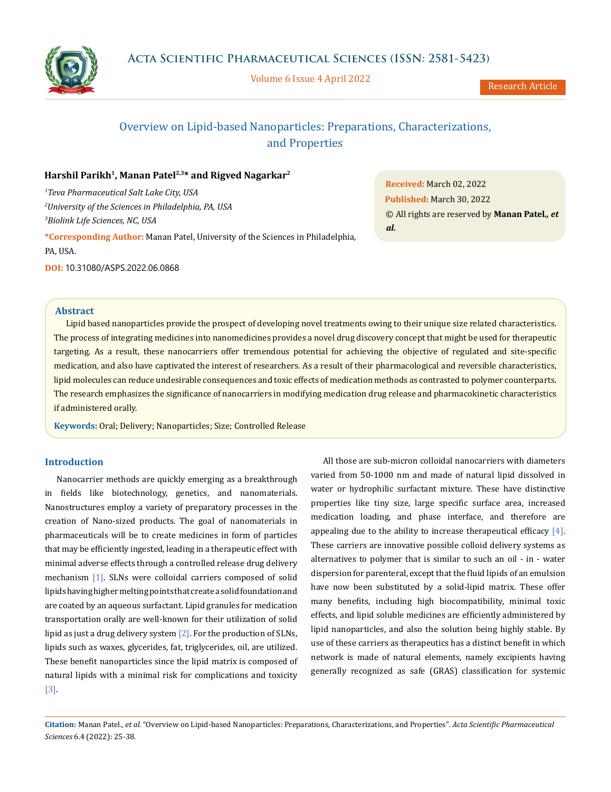

Volume 6 Issue 4 April 2022

# Overview on Lipid-based Nanoparticles: Preparations, Characterizations, and Properties

# Harshil Parikh<sup>1</sup>, Manan Patel<sup>2,3\*</sup> and Rigved Nagarkar<sup>2</sup>

*1 Teva Pharmaceutical Salt Lake City, USA 2 University of the Sciences in Philadelphia, PA, USA 3 Biolink Life Sciences, NC, USA*

**\*Corresponding Author:** Manan Patel, University of the Sciences in Philadelphia, PA, USA.

**DOI:** 10.31080/ASPS.2022.06.0868

**Received:** March 02, 2022 **Published:** March 30, 2022 © All rights are reserved by **Manan Patel***., et al.*

## **Abstract**

Lipid based nanoparticles provide the prospect of developing novel treatments owing to their unique size related characteristics. The process of integrating medicines into nanomedicines provides a novel drug discovery concept that might be used for therapeutic targeting. As a result, these nanocarriers offer tremendous potential for achieving the objective of regulated and site-specific medication, and also have captivated the interest of researchers. As a result of their pharmacological and reversible characteristics, lipid molecules can reduce undesirable consequences and toxic effects of medication methods as contrasted to polymer counterparts. The research emphasizes the significance of nanocarriers in modifying medication drug release and pharmacokinetic characteristics if administered orally.

**Keywords:** Oral; Delivery; Nanoparticles; Size; Controlled Release

# **Introduction**

Nanocarrier methods are quickly emerging as a breakthrough in fields like biotechnology, genetics, and nanomaterials. Nanostructures employ a variety of preparatory processes in the creation of Nano-sized products. The goal of nanomaterials in pharmaceuticals will be to create medicines in form of particles that may be efficiently ingested, leading in a therapeutic effect with minimal adverse effects through a controlled release drug delivery mechanism [1]. SLNs were colloidal carriers composed of solid lipids having higher melting points that create a solid foundation and are coated by an aqueous surfactant. Lipid granules for medication transportation orally are well-known for their utilization of solid lipid as just a drug delivery system  $[2]$ . For the production of SLNs, lipids such as waxes, glycerides, fat, triglycerides, oil, are utilized. These benefit nanoparticles since the lipid matrix is composed of natural lipids with a minimal risk for complications and toxicity [3].

All those are sub-micron colloidal nanocarriers with diameters varied from 50-1000 nm and made of natural lipid dissolved in water or hydrophilic surfactant mixture. These have distinctive properties like tiny size, large specific surface area, increased medication loading, and phase interface, and therefore are appealing due to the ability to increase therapeutical efficacy  $[4]$ . These carriers are innovative possible colloid delivery systems as alternatives to polymer that is similar to such an oil - in - water dispersion for parenteral, except that the fluid lipids of an emulsion have now been substituted by a solid-lipid matrix. These offer many benefits, including high biocompatibility, minimal toxic effects, and lipid soluble medicines are efficiently administered by lipid nanoparticles, and also the solution being highly stable. By use of these carriers as therapeutics has a distinct benefit in which network is made of natural elements, namely excipients having generally recognized as safe (GRAS) classification for systemic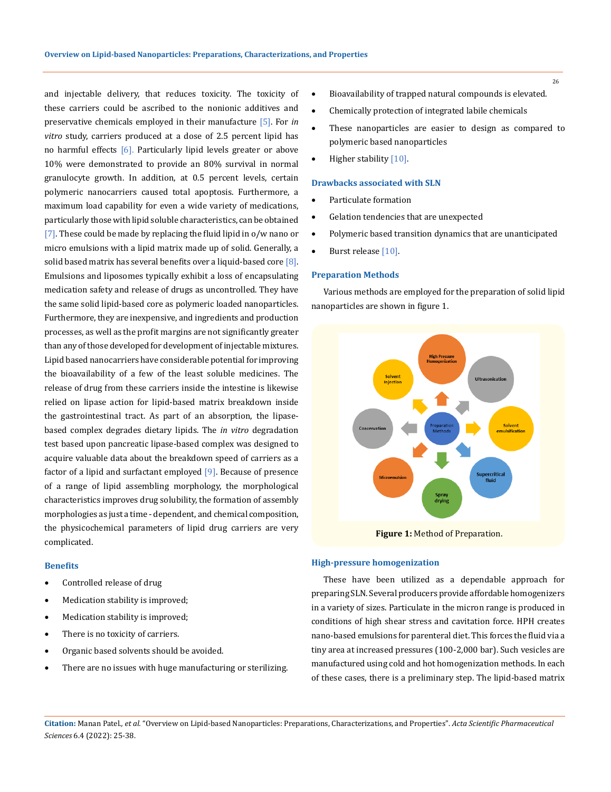and injectable delivery, that reduces toxicity. The toxicity of these carriers could be ascribed to the nonionic additives and preservative chemicals employed in their manufacture [5]. For *in vitro* study, carriers produced at a dose of 2.5 percent lipid has no harmful effects [6]. Particularly lipid levels greater or above 10% were demonstrated to provide an 80% survival in normal granulocyte growth. In addition, at 0.5 percent levels, certain polymeric nanocarriers caused total apoptosis. Furthermore, a maximum load capability for even a wide variety of medications, particularly those with lipid soluble characteristics, can be obtained [7]. These could be made by replacing the fluid lipid in  $o/w$  nano or micro emulsions with a lipid matrix made up of solid. Generally, a solid based matrix has several benefits over a liquid-based core [8]. Emulsions and liposomes typically exhibit a loss of encapsulating medication safety and release of drugs as uncontrolled. They have the same solid lipid-based core as polymeric loaded nanoparticles. Furthermore, they are inexpensive, and ingredients and production processes, as well as the profit margins are not significantly greater than any of those developed for development of injectable mixtures. Lipid based nanocarriers have considerable potential for improving the bioavailability of a few of the least soluble medicines. The release of drug from these carriers inside the intestine is likewise relied on lipase action for lipid-based matrix breakdown inside the gastrointestinal tract. As part of an absorption, the lipasebased complex degrades dietary lipids. The *in vitro* degradation test based upon pancreatic lipase-based complex was designed to acquire valuable data about the breakdown speed of carriers as a factor of a lipid and surfactant employed [9]. Because of presence of a range of lipid assembling morphology, the morphological characteristics improves drug solubility, the formation of assembly morphologies as just a time - dependent, and chemical composition, the physicochemical parameters of lipid drug carriers are very complicated.

## **Benefits**

- Controlled release of drug
- Medication stability is improved;
- Medication stability is improved;
- There is no toxicity of carriers.
- Organic based solvents should be avoided.
- There are no issues with huge manufacturing or sterilizing.
- Bioavailability of trapped natural compounds is elevated.
- Chemically protection of integrated labile chemicals
- These nanoparticles are easier to design as compared to polymeric based nanoparticles
- Higher stability  $[10]$ .

## **Drawbacks associated with SLN**

- Particulate formation
- • Gelation tendencies that are unexpected
- • Polymeric based transition dynamics that are unanticipated
- Burst release [10].

## **Preparation Methods**

Various methods are employed for the preparation of solid lipid nanoparticles are shown in figure 1.



#### **High-pressure homogenization**

These have been utilized as a dependable approach for preparing SLN. Several producers provide affordable homogenizers in a variety of sizes. Particulate in the micron range is produced in conditions of high shear stress and cavitation force. HPH creates nano-based emulsions for parenteral diet. This forces the fluid via a tiny area at increased pressures (100-2,000 bar). Such vesicles are manufactured using cold and hot homogenization methods. In each of these cases, there is a preliminary step. The lipid-based matrix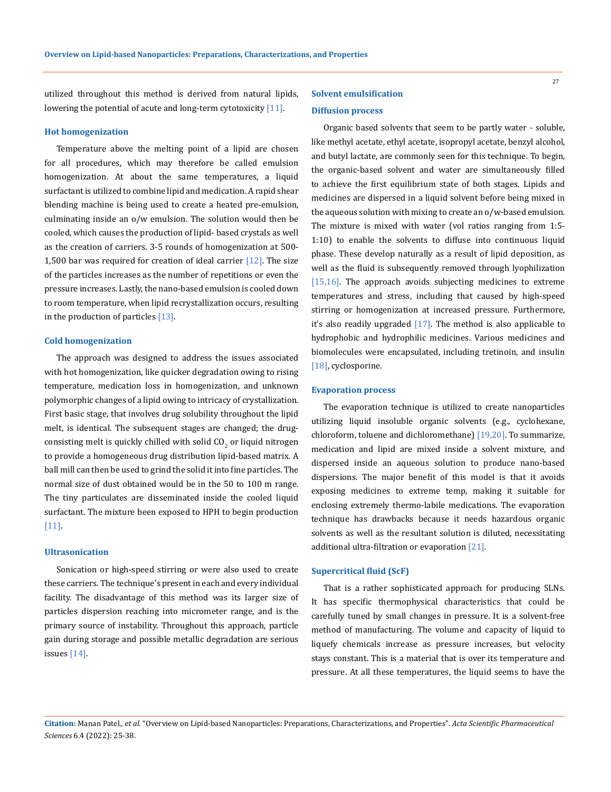utilized throughout this method is derived from natural lipids, lowering the potential of acute and long-term cytotoxicity [11].

## **Hot homogenization**

Temperature above the melting point of a lipid are chosen for all procedures, which may therefore be called emulsion homogenization. At about the same temperatures, a liquid surfactant is utilized to combine lipid and medication. A rapid shear blending machine is being used to create a heated pre-emulsion, culminating inside an o/w emulsion. The solution would then be cooled, which causes the production of lipid- based crystals as well as the creation of carriers. 3-5 rounds of homogenization at 500- 1,500 bar was required for creation of ideal carrier  $[12]$ . The size of the particles increases as the number of repetitions or even the pressure increases. Lastly, the nano-based emulsion is cooled down to room temperature, when lipid recrystallization occurs, resulting in the production of particles [13].

## **Cold homogenization**

The approach was designed to address the issues associated with hot homogenization, like quicker degradation owing to rising temperature, medication loss in homogenization, and unknown polymorphic changes of a lipid owing to intricacy of crystallization. First basic stage, that involves drug solubility throughout the lipid melt, is identical. The subsequent stages are changed; the drugconsisting melt is quickly chilled with solid  $CO<sub>2</sub>$  or liquid nitrogen to provide a homogeneous drug distribution lipid-based matrix. A ball mill can then be used to grind the solid it into fine particles. The normal size of dust obtained would be in the 50 to 100 m range. The tiny particulates are disseminated inside the cooled liquid surfactant. The mixture been exposed to HPH to begin production [11].

## **Ultrasonication**

Sonication or high-speed stirring or were also used to create these carriers. The technique's present in each and every individual facility. The disadvantage of this method was its larger size of particles dispersion reaching into micrometer range, and is the primary source of instability. Throughout this approach, particle gain during storage and possible metallic degradation are serious issues [14].

# **Solvent emulsification**

## **Diffusion process**

Organic based solvents that seem to be partly water - soluble, like methyl acetate, ethyl acetate, isopropyl acetate, benzyl alcohol, and butyl lactate, are commonly seen for this technique. To begin, the organic-based solvent and water are simultaneously filled to achieve the first equilibrium state of both stages. Lipids and medicines are dispersed in a liquid solvent before being mixed in the aqueous solution with mixing to create an o/w-based emulsion. The mixture is mixed with water (vol ratios ranging from 1:5- 1:10) to enable the solvents to diffuse into continuous liquid phase. These develop naturally as a result of lipid deposition, as well as the fluid is subsequently removed through lyophilization [15,16]. The approach avoids subjecting medicines to extreme temperatures and stress, including that caused by high-speed stirring or homogenization at increased pressure. Furthermore, it's also readily upgraded [17]. The method is also applicable to hydrophobic and hydrophilic medicines. Various medicines and biomolecules were encapsulated, including tretinoin, and insulin [18], cyclosporine.

#### **Evaporation process**

The evaporation technique is utilized to create nanoparticles utilizing liquid insoluble organic solvents (e.g., cyclohexane, chloroform, toluene and dichloromethane) [19,20]. To summarize, medication and lipid are mixed inside a solvent mixture, and dispersed inside an aqueous solution to produce nano-based dispersions. The major benefit of this model is that it avoids exposing medicines to extreme temp, making it suitable for enclosing extremely thermo-labile medications. The evaporation technique has drawbacks because it needs hazardous organic solvents as well as the resultant solution is diluted, necessitating additional ultra-filtration or evaporation [21].

## **Supercritical fluid (ScF)**

That is a rather sophisticated approach for producing SLNs. It has specific thermophysical characteristics that could be carefully tuned by small changes in pressure. It is a solvent-free method of manufacturing. The volume and capacity of liquid to liquefy chemicals increase as pressure increases, but velocity stays constant. This is a material that is over its temperature and pressure. At all these temperatures, the liquid seems to have the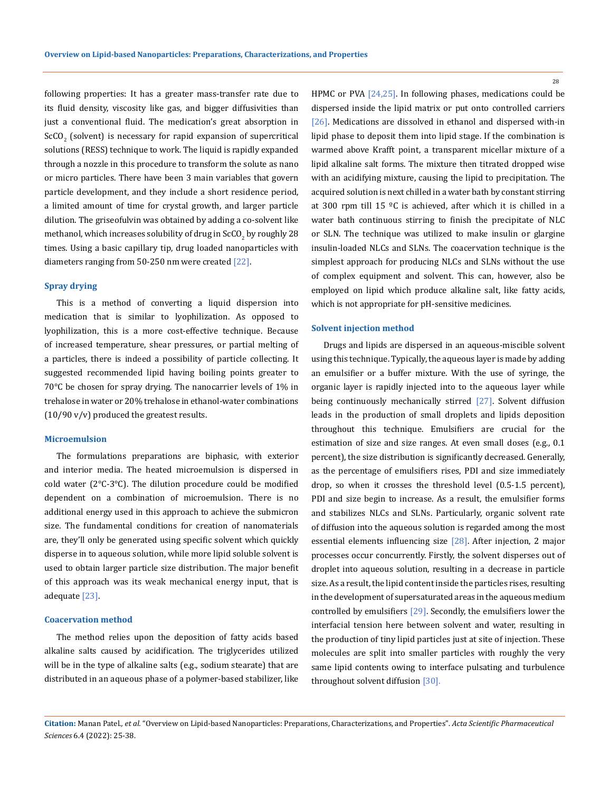following properties: It has a greater mass-transfer rate due to its fluid density, viscosity like gas, and bigger diffusivities than just a conventional fluid. The medication's great absorption in  $SCO<sub>2</sub>$  (solvent) is necessary for rapid expansion of supercritical solutions (RESS) technique to work. The liquid is rapidly expanded through a nozzle in this procedure to transform the solute as nano or micro particles. There have been 3 main variables that govern particle development, and they include a short residence period, a limited amount of time for crystal growth, and larger particle dilution. The griseofulvin was obtained by adding a co-solvent like methanol, which increases solubility of drug in  $\mathrm{SCO}_2$  by roughly  $28$ times. Using a basic capillary tip, drug loaded nanoparticles with diameters ranging from 50-250 nm were created [22].

## **Spray drying**

This is a method of converting a liquid dispersion into medication that is similar to lyophilization. As opposed to lyophilization, this is a more cost-effective technique. Because of increased temperature, shear pressures, or partial melting of a particles, there is indeed a possibility of particle collecting. It suggested recommended lipid having boiling points greater to 70°C be chosen for spray drying. The nanocarrier levels of 1% in trehalose in water or 20% trehalose in ethanol-water combinations  $(10/90 \text{ v/v})$  produced the greatest results.

## **Microemulsion**

The formulations preparations are biphasic, with exterior and interior media. The heated microemulsion is dispersed in cold water (2°C-3°C). The dilution procedure could be modified dependent on a combination of microemulsion. There is no additional energy used in this approach to achieve the submicron size. The fundamental conditions for creation of nanomaterials are, they'll only be generated using specific solvent which quickly disperse in to aqueous solution, while more lipid soluble solvent is used to obtain larger particle size distribution. The major benefit of this approach was its weak mechanical energy input, that is adequate [23].

## **Coacervation method**

The method relies upon the deposition of fatty acids based alkaline salts caused by acidification. The triglycerides utilized will be in the type of alkaline salts (e.g., sodium stearate) that are distributed in an aqueous phase of a polymer-based stabilizer, like HPMC or PVA [24,25]. In following phases, medications could be dispersed inside the lipid matrix or put onto controlled carriers [26]. Medications are dissolved in ethanol and dispersed with-in lipid phase to deposit them into lipid stage. If the combination is warmed above Krafft point, a transparent micellar mixture of a lipid alkaline salt forms. The mixture then titrated dropped wise with an acidifying mixture, causing the lipid to precipitation. The acquired solution is next chilled in a water bath by constant stirring at 300 rpm till 15 ºC is achieved, after which it is chilled in a water bath continuous stirring to finish the precipitate of NLC or SLN. The technique was utilized to make insulin or glargine insulin-loaded NLCs and SLNs. The coacervation technique is the simplest approach for producing NLCs and SLNs without the use of complex equipment and solvent. This can, however, also be employed on lipid which produce alkaline salt, like fatty acids, which is not appropriate for pH-sensitive medicines.

#### **Solvent injection method**

Drugs and lipids are dispersed in an aqueous-miscible solvent using this technique. Typically, the aqueous layer is made by adding an emulsifier or a buffer mixture. With the use of syringe, the organic layer is rapidly injected into to the aqueous layer while being continuously mechanically stirred [27]. Solvent diffusion leads in the production of small droplets and lipids deposition throughout this technique. Emulsifiers are crucial for the estimation of size and size ranges. At even small doses (e.g., 0.1 percent), the size distribution is significantly decreased. Generally, as the percentage of emulsifiers rises, PDI and size immediately drop, so when it crosses the threshold level (0.5-1.5 percent), PDI and size begin to increase. As a result, the emulsifier forms and stabilizes NLCs and SLNs. Particularly, organic solvent rate of diffusion into the aqueous solution is regarded among the most essential elements influencing size [28]. After injection, 2 major processes occur concurrently. Firstly, the solvent disperses out of droplet into aqueous solution, resulting in a decrease in particle size. As a result, the lipid content inside the particles rises, resulting in the development of supersaturated areas in the aqueous medium controlled by emulsifiers [29]. Secondly, the emulsifiers lower the interfacial tension here between solvent and water, resulting in the production of tiny lipid particles just at site of injection. These molecules are split into smaller particles with roughly the very same lipid contents owing to interface pulsating and turbulence throughout solvent diffusion [30].

**Citation:** Manan Patel*., et al.* "Overview on Lipid-based Nanoparticles: Preparations, Characterizations, and Properties". *Acta Scientific Pharmaceutical Sciences* 6.4 (2022): 25-38.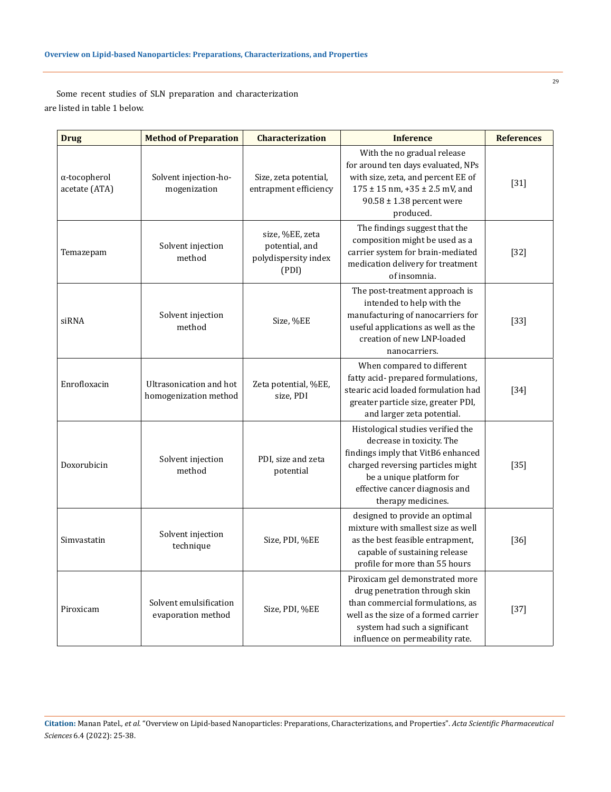Some recent studies of SLN preparation and characterization are listed in table 1 below.

| <b>Drug</b>                           | <b>Method of Preparation</b>                     | <b>Characterization</b>                                            | <b>Inference</b>                                                                                                                                                                                                              | <b>References</b> |
|---------------------------------------|--------------------------------------------------|--------------------------------------------------------------------|-------------------------------------------------------------------------------------------------------------------------------------------------------------------------------------------------------------------------------|-------------------|
| $\alpha$ -tocopherol<br>acetate (ATA) | Solvent injection-ho-<br>mogenization            | Size, zeta potential,<br>entrapment efficiency                     | With the no gradual release<br>for around ten days evaluated, NPs<br>with size, zeta, and percent EE of<br>$175 \pm 15$ nm, $+35 \pm 2.5$ mV, and<br>$90.58 \pm 1.38$ percent were<br>produced.                               | $[31]$            |
| Temazepam                             | Solvent injection<br>method                      | size, %EE, zeta<br>potential, and<br>polydispersity index<br>(PDI) | The findings suggest that the<br>composition might be used as a<br>carrier system for brain-mediated<br>medication delivery for treatment<br>of insomnia.                                                                     | $[32]$            |
| siRNA                                 | Solvent injection<br>method                      | Size, %EE                                                          | The post-treatment approach is<br>intended to help with the<br>manufacturing of nanocarriers for<br>useful applications as well as the<br>creation of new LNP-loaded<br>nanocarriers.                                         | $[33]$            |
| Enrofloxacin                          | Ultrasonication and hot<br>homogenization method | Zeta potential, %EE,<br>size, PDI                                  | When compared to different<br>fatty acid- prepared formulations,<br>stearic acid loaded formulation had<br>greater particle size, greater PDI,<br>and larger zeta potential.                                                  | $[34]$            |
| Doxorubicin                           | Solvent injection<br>method                      | PDI, size and zeta<br>potential                                    | Histological studies verified the<br>decrease in toxicity. The<br>findings imply that VitB6 enhanced<br>charged reversing particles might<br>be a unique platform for<br>effective cancer diagnosis and<br>therapy medicines. | $[35]$            |
| Simvastatin                           | Solvent injection<br>technique                   | Size, PDI, %EE                                                     | designed to provide an optimal<br>mixture with smallest size as well<br>as the best feasible entrapment,<br>capable of sustaining release<br>profile for more than 55 hours                                                   | $[36]$            |
| Piroxicam                             | Solvent emulsification<br>evaporation method     | Size, PDI, %EE                                                     | Piroxicam gel demonstrated more<br>drug penetration through skin<br>than commercial formulations, as<br>well as the size of a formed carrier<br>system had such a significant<br>influence on permeability rate.              | $[37]$            |

**Citation:** Manan Patel*., et al.* "Overview on Lipid-based Nanoparticles: Preparations, Characterizations, and Properties". *Acta Scientific Pharmaceutical Sciences* 6.4 (2022): 25-38.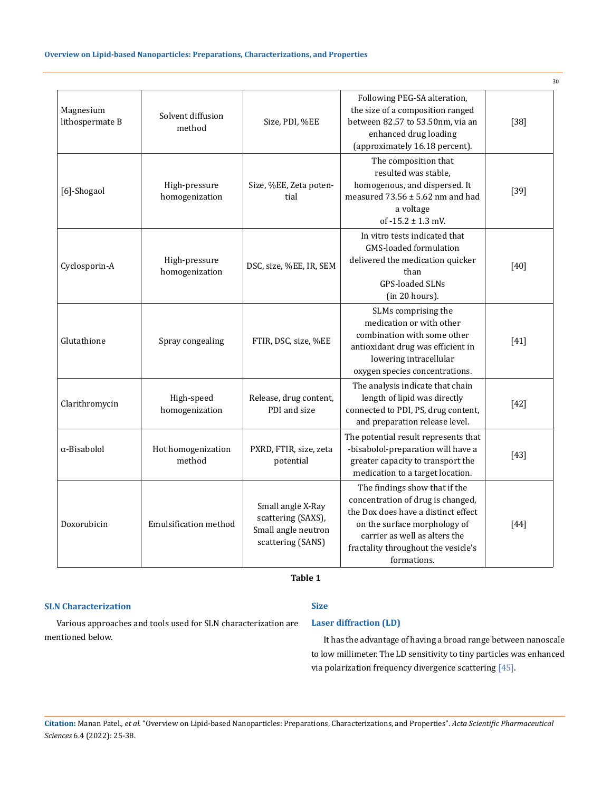|                              |                                 |                                                                                     |                                                                                                                                                                                                                                  | 30     |
|------------------------------|---------------------------------|-------------------------------------------------------------------------------------|----------------------------------------------------------------------------------------------------------------------------------------------------------------------------------------------------------------------------------|--------|
| Magnesium<br>lithospermate B | Solvent diffusion<br>method     | Size, PDI, %EE                                                                      | Following PEG-SA alteration,<br>the size of a composition ranged<br>between 82.57 to 53.50nm, via an<br>enhanced drug loading<br>(approximately 16.18 percent).                                                                  | $[38]$ |
| [6]-Shogaol                  | High-pressure<br>homogenization | Size, %EE, Zeta poten-<br>tial                                                      | The composition that<br>resulted was stable.<br>homogenous, and dispersed. It<br>measured $73.56 \pm 5.62$ nm and had<br>a voltage<br>of $-15.2 \pm 1.3$ mV.                                                                     | $[39]$ |
| Cyclosporin-A                | High-pressure<br>homogenization | DSC, size, %EE, IR, SEM                                                             | In vitro tests indicated that<br>GMS-loaded formulation<br>delivered the medication quicker<br>than<br><b>GPS-loaded SLNs</b><br>(in 20 hours).                                                                                  | $[40]$ |
| Glutathione                  | Spray congealing                | FTIR, DSC, size, %EE                                                                | SLMs comprising the<br>medication or with other<br>combination with some other<br>antioxidant drug was efficient in<br>lowering intracellular<br>oxygen species concentrations.                                                  | $[41]$ |
| Clarithromycin               | High-speed<br>homogenization    | Release, drug content,<br>PDI and size                                              | The analysis indicate that chain<br>length of lipid was directly<br>connected to PDI, PS, drug content,<br>and preparation release level.                                                                                        | $[42]$ |
| α-Bisabolol                  | Hot homogenization<br>method    | PXRD, FTIR, size, zeta<br>potential                                                 | The potential result represents that<br>-bisabolol-preparation will have a<br>greater capacity to transport the<br>medication to a target location.                                                                              | $[43]$ |
| Doxorubicin                  | Emulsification method           | Small angle X-Ray<br>scattering (SAXS),<br>Small angle neutron<br>scattering (SANS) | The findings show that if the<br>concentration of drug is changed,<br>the Dox does have a distinct effect<br>on the surface morphology of<br>carrier as well as alters the<br>fractality throughout the vesicle's<br>formations. | $[44]$ |

 **Table 1**

## **SLN Characterization**

# **Size**

Various approaches and tools used for SLN characterization are mentioned below.

## **Laser diffraction (LD)**

It has the advantage of having a broad range between nanoscale to low millimeter. The LD sensitivity to tiny particles was enhanced via polarization frequency divergence scattering [45].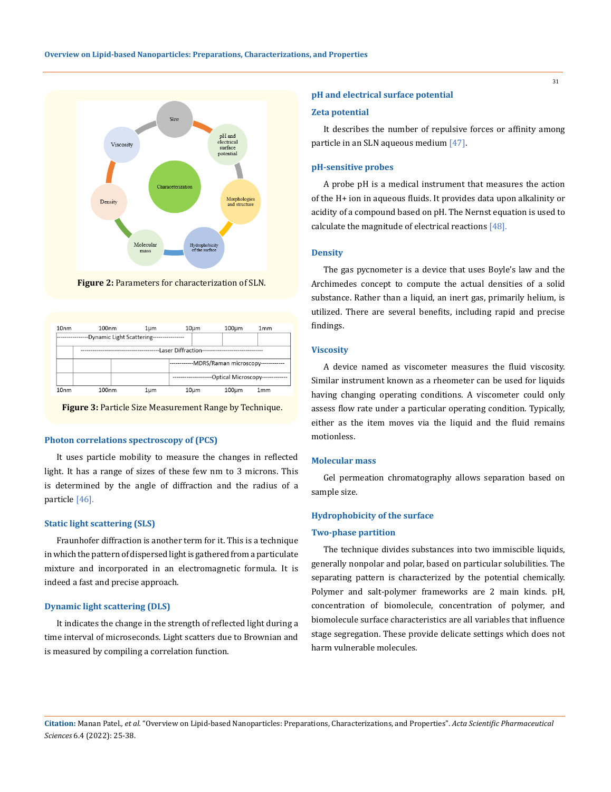

**Figure 2:** Parameters for characterization of SLN.



**Figure 3:** Particle Size Measurement Range by Technique.

#### **Photon correlations spectroscopy of (PCS)**

It uses particle mobility to measure the changes in reflected light. It has a range of sizes of these few nm to 3 microns. This is determined by the angle of diffraction and the radius of a particle [46].

## **Static light scattering (SLS)**

Fraunhofer diffraction is another term for it. This is a technique in which the pattern of dispersed light is gathered from a particulate mixture and incorporated in an electromagnetic formula. It is indeed a fast and precise approach.

#### **Dynamic light scattering (DLS)**

It indicates the change in the strength of reflected light during a time interval of microseconds. Light scatters due to Brownian and is measured by compiling a correlation function.

#### **pH and electrical surface potential**

#### **Zeta potential**

It describes the number of repulsive forces or affinity among particle in an SLN aqueous medium [47].

## **pH-sensitive probes**

A probe pH is a medical instrument that measures the action of the H+ ion in aqueous fluids. It provides data upon alkalinity or acidity of a compound based on pH. The Nernst equation is used to calculate the magnitude of electrical reactions [48].

#### **Density**

The gas pycnometer is a device that uses Boyle's law and the Archimedes concept to compute the actual densities of a solid substance. Rather than a liquid, an inert gas, primarily helium, is utilized. There are several benefits, including rapid and precise findings.

## **Viscosity**

A device named as viscometer measures the fluid viscosity. Similar instrument known as a rheometer can be used for liquids having changing operating conditions. A viscometer could only assess flow rate under a particular operating condition. Typically, either as the item moves via the liquid and the fluid remains motionless.

## **Molecular mass**

Gel permeation chromatography allows separation based on sample size.

## **Hydrophobicity of the surface**

#### **Two-phase partition**

The technique divides substances into two immiscible liquids, generally nonpolar and polar, based on particular solubilities. The separating pattern is characterized by the potential chemically. Polymer and salt-polymer frameworks are 2 main kinds. pH, concentration of biomolecule, concentration of polymer, and biomolecule surface characteristics are all variables that influence stage segregation. These provide delicate settings which does not harm vulnerable molecules.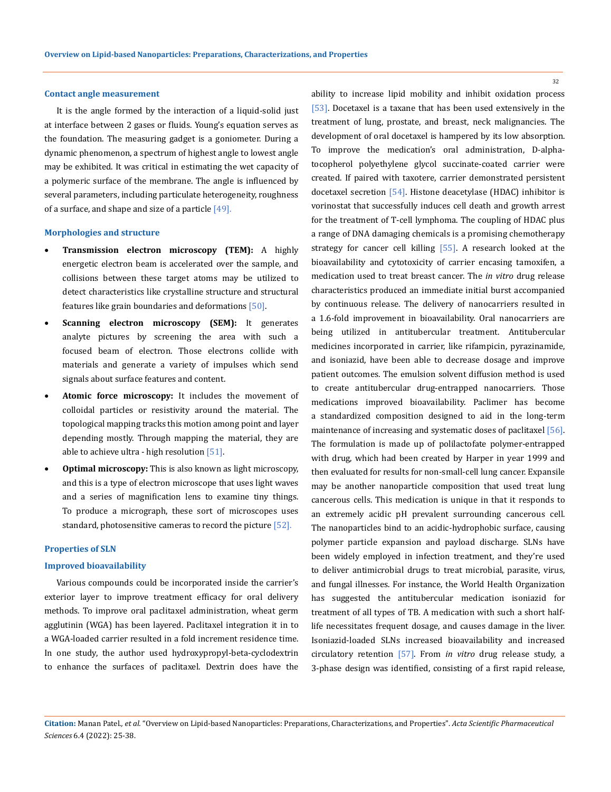## **Contact angle measurement**

It is the angle formed by the interaction of a liquid-solid just at interface between 2 gases or fluids. Young's equation serves as the foundation. The measuring gadget is a goniometer. During a dynamic phenomenon, a spectrum of highest angle to lowest angle may be exhibited. It was critical in estimating the wet capacity of a polymeric surface of the membrane. The angle is influenced by several parameters, including particulate heterogeneity, roughness of a surface, and shape and size of a particle [49].

#### **Morphologies and structure**

- **Transmission electron microscopy (TEM):** A highly energetic electron beam is accelerated over the sample, and collisions between these target atoms may be utilized to detect characteristics like crystalline structure and structural features like grain boundaries and deformations [50].
- • **Scanning electron microscopy (SEM):** It generates analyte pictures by screening the area with such a focused beam of electron. Those electrons collide with materials and generate a variety of impulses which send signals about surface features and content.
- • **Atomic force microscopy:** It includes the movement of colloidal particles or resistivity around the material. The topological mapping tracks this motion among point and layer depending mostly. Through mapping the material, they are able to achieve ultra - high resolution [51].
- • **Optimal microscopy:** This is also known as light microscopy, and this is a type of electron microscope that uses light waves and a series of magnification lens to examine tiny things. To produce a micrograph, these sort of microscopes uses standard, photosensitive cameras to record the picture [52].

### **Properties of SLN**

#### **Improved bioavailability**

Various compounds could be incorporated inside the carrier's exterior layer to improve treatment efficacy for oral delivery methods. To improve oral paclitaxel administration, wheat germ agglutinin (WGA) has been layered. Paclitaxel integration it in to a WGA-loaded carrier resulted in a fold increment residence time. In one study, the author used hydroxypropyl-beta-cyclodextrin to enhance the surfaces of paclitaxel. Dextrin does have the

ability to increase lipid mobility and inhibit oxidation process [53]. Docetaxel is a taxane that has been used extensively in the treatment of lung, prostate, and breast, neck malignancies. The development of oral docetaxel is hampered by its low absorption. To improve the medication's oral administration, D-alphatocopherol polyethylene glycol succinate-coated carrier were created. If paired with taxotere, carrier demonstrated persistent docetaxel secretion [54]. Histone deacetylase (HDAC) inhibitor is vorinostat that successfully induces cell death and growth arrest for the treatment of T-cell lymphoma. The coupling of HDAC plus a range of DNA damaging chemicals is a promising chemotherapy strategy for cancer cell killing [55]. A research looked at the bioavailability and cytotoxicity of carrier encasing tamoxifen, a medication used to treat breast cancer. The *in vitro* drug release characteristics produced an immediate initial burst accompanied by continuous release. The delivery of nanocarriers resulted in a 1.6-fold improvement in bioavailability. Oral nanocarriers are being utilized in antitubercular treatment. Antitubercular medicines incorporated in carrier, like rifampicin, pyrazinamide, and isoniazid, have been able to decrease dosage and improve patient outcomes. The emulsion solvent diffusion method is used to create antitubercular drug-entrapped nanocarriers. Those medications improved bioavailability. Paclimer has become a standardized composition designed to aid in the long-term maintenance of increasing and systematic doses of paclitaxel [56]. The formulation is made up of polilactofate polymer-entrapped with drug, which had been created by Harper in year 1999 and then evaluated for results for non-small-cell lung cancer. Expansile may be another nanoparticle composition that used treat lung cancerous cells. This medication is unique in that it responds to an extremely acidic pH prevalent surrounding cancerous cell. The nanoparticles bind to an acidic-hydrophobic surface, causing polymer particle expansion and payload discharge. SLNs have been widely employed in infection treatment, and they're used to deliver antimicrobial drugs to treat microbial, parasite, virus, and fungal illnesses. For instance, the World Health Organization has suggested the antitubercular medication isoniazid for treatment of all types of TB. A medication with such a short halflife necessitates frequent dosage, and causes damage in the liver. Isoniazid-loaded SLNs increased bioavailability and increased circulatory retention [57]. From *in vitro* drug release study, a 3-phase design was identified, consisting of a first rapid release,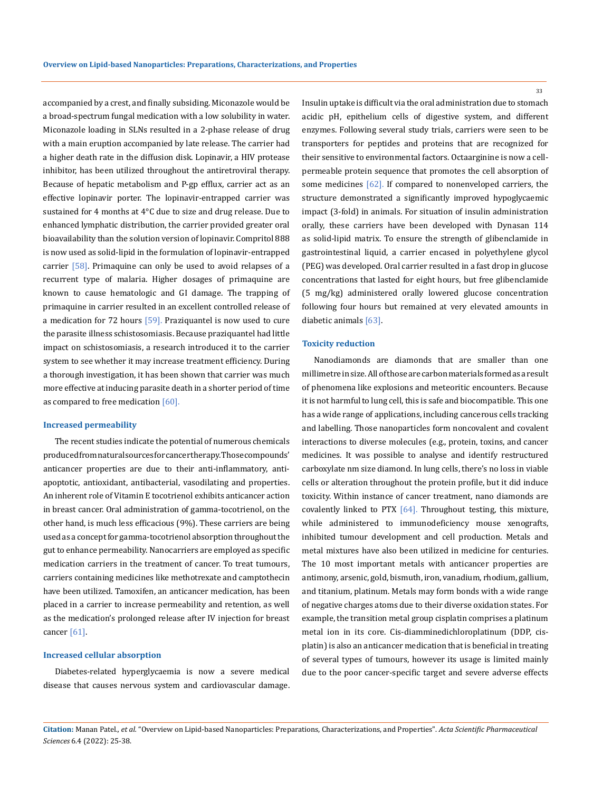accompanied by a crest, and finally subsiding. Miconazole would be a broad-spectrum fungal medication with a low solubility in water. Miconazole loading in SLNs resulted in a 2-phase release of drug with a main eruption accompanied by late release. The carrier had a higher death rate in the diffusion disk. Lopinavir, a HIV protease inhibitor, has been utilized throughout the antiretroviral therapy. Because of hepatic metabolism and P-gp efflux, carrier act as an effective lopinavir porter. The lopinavir-entrapped carrier was sustained for 4 months at 4°C due to size and drug release. Due to enhanced lymphatic distribution, the carrier provided greater oral bioavailability than the solution version of lopinavir. Compritol 888 is now used as solid-lipid in the formulation of lopinavir-entrapped carrier  $[58]$ . Primaquine can only be used to avoid relapses of a recurrent type of malaria. Higher dosages of primaquine are known to cause hematologic and GI damage. The trapping of primaquine in carrier resulted in an excellent controlled release of a medication for 72 hours  $[59]$ . Praziquantel is now used to cure the parasite illness schistosomiasis. Because praziquantel had little impact on schistosomiasis, a research introduced it to the carrier system to see whether it may increase treatment efficiency. During a thorough investigation, it has been shown that carrier was much more effective at inducing parasite death in a shorter period of time as compared to free medication [60].

#### **Increased permeability**

The recent studies indicate the potential of numerous chemicals produced from natural sourcesfor cancer therapy. Those compounds' anticancer properties are due to their anti-inflammatory, antiapoptotic, antioxidant, antibacterial, vasodilating and properties. An inherent role of Vitamin E tocotrienol exhibits anticancer action in breast cancer. Oral administration of gamma-tocotrienol, on the other hand, is much less efficacious (9%). These carriers are being used as a concept for gamma-tocotrienol absorption throughout the gut to enhance permeability. Nanocarriers are employed as specific medication carriers in the treatment of cancer. To treat tumours, carriers containing medicines like methotrexate and camptothecin have been utilized. Tamoxifen, an anticancer medication, has been placed in a carrier to increase permeability and retention, as well as the medication's prolonged release after IV injection for breast cancer [61].

## **Increased cellular absorption**

Diabetes-related hyperglycaemia is now a severe medical disease that causes nervous system and cardiovascular damage. Insulin uptake is difficult via the oral administration due to stomach acidic pH, epithelium cells of digestive system, and different enzymes. Following several study trials, carriers were seen to be transporters for peptides and proteins that are recognized for their sensitive to environmental factors. Octaarginine is now a cellpermeable protein sequence that promotes the cell absorption of some medicines [62]. If compared to nonenveloped carriers, the structure demonstrated a significantly improved hypoglycaemic impact (3-fold) in animals. For situation of insulin administration orally, these carriers have been developed with Dynasan 114 as solid-lipid matrix. To ensure the strength of glibenclamide in gastrointestinal liquid, a carrier encased in polyethylene glycol (PEG) was developed. Oral carrier resulted in a fast drop in glucose concentrations that lasted for eight hours, but free glibenclamide (5 mg/kg) administered orally lowered glucose concentration following four hours but remained at very elevated amounts in diabetic animals [63].

## **Toxicity reduction**

Nanodiamonds are diamonds that are smaller than one millimetre in size. All of those are carbon materials formed as a result of phenomena like explosions and meteoritic encounters. Because it is not harmful to lung cell, this is safe and biocompatible. This one has a wide range of applications, including cancerous cells tracking and labelling. Those nanoparticles form noncovalent and covalent interactions to diverse molecules (e.g., protein, toxins, and cancer medicines. It was possible to analyse and identify restructured carboxylate nm size diamond. In lung cells, there's no loss in viable cells or alteration throughout the protein profile, but it did induce toxicity. Within instance of cancer treatment, nano diamonds are covalently linked to PTX [64]. Throughout testing, this mixture, while administered to immunodeficiency mouse xenografts, inhibited tumour development and cell production. Metals and metal mixtures have also been utilized in medicine for centuries. The 10 most important metals with anticancer properties are antimony, arsenic, gold, bismuth, iron, vanadium, rhodium, gallium, and titanium, platinum. Metals may form bonds with a wide range of negative charges atoms due to their diverse oxidation states. For example, the transition metal group cisplatin comprises a platinum metal ion in its core. Cis-diamminedichloroplatinum (DDP, cisplatin) is also an anticancer medication that is beneficial in treating of several types of tumours, however its usage is limited mainly due to the poor cancer-specific target and severe adverse effects

**Citation:** Manan Patel*., et al.* "Overview on Lipid-based Nanoparticles: Preparations, Characterizations, and Properties". *Acta Scientific Pharmaceutical Sciences* 6.4 (2022): 25-38.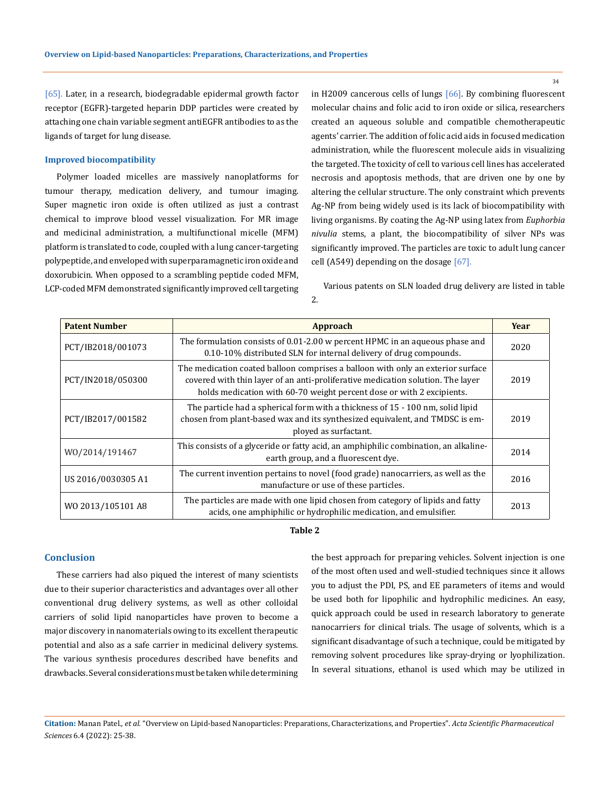[65]. Later, in a research, biodegradable epidermal growth factor receptor (EGFR)-targeted heparin DDP particles were created by attaching one chain variable segment antiEGFR antibodies to as the ligands of target for lung disease.

## **Improved biocompatibility**

Polymer loaded micelles are massively nanoplatforms for tumour therapy, medication delivery, and tumour imaging. Super magnetic iron oxide is often utilized as just a contrast chemical to improve blood vessel visualization. For MR image and medicinal administration, a multifunctional micelle (MFM) platform is translated to code, coupled with a lung cancer-targeting polypeptide, and enveloped with superparamagnetic iron oxide and doxorubicin. When opposed to a scrambling peptide coded MFM, LCP-coded MFM demonstrated significantly improved cell targeting in H2009 cancerous cells of lungs [66]. By combining fluorescent molecular chains and folic acid to iron oxide or silica, researchers created an aqueous soluble and compatible chemotherapeutic agents' carrier. The addition of folic acid aids in focused medication administration, while the fluorescent molecule aids in visualizing the targeted. The toxicity of cell to various cell lines has accelerated necrosis and apoptosis methods, that are driven one by one by altering the cellular structure. The only constraint which prevents Ag-NP from being widely used is its lack of biocompatibility with living organisms. By coating the Ag-NP using latex from *Euphorbia nivulia* stems, a plant, the biocompatibility of silver NPs was significantly improved. The particles are toxic to adult lung cancer cell (A549) depending on the dosage [67].

Various patents on SLN loaded drug delivery are listed in table 2.

| <b>Patent Number</b> | Approach                                                                                                                                                                                                                                    | Year |
|----------------------|---------------------------------------------------------------------------------------------------------------------------------------------------------------------------------------------------------------------------------------------|------|
| PCT/IB2018/001073    | The formulation consists of 0.01-2.00 w percent HPMC in an aqueous phase and<br>0.10-10% distributed SLN for internal delivery of drug compounds.                                                                                           | 2020 |
| PCT/IN2018/050300    | The medication coated balloon comprises a balloon with only an exterior surface<br>covered with thin layer of an anti-proliferative medication solution. The layer<br>holds medication with 60-70 weight percent dose or with 2 excipients. | 2019 |
| PCT/IB2017/001582    | The particle had a spherical form with a thickness of 15 - 100 nm, solid lipid<br>chosen from plant-based wax and its synthesized equivalent, and TMDSC is em-<br>ployed as surfactant.                                                     | 2019 |
| W0/2014/191467       | This consists of a glyceride or fatty acid, an amphiphilic combination, an alkaline-<br>earth group, and a fluorescent dye.                                                                                                                 | 2014 |
| US 2016/0030305 A1   | The current invention pertains to novel (food grade) nanocarriers, as well as the<br>manufacture or use of these particles.                                                                                                                 | 2016 |
| WO 2013/105101 A8    | The particles are made with one lipid chosen from category of lipids and fatty<br>acids, one amphiphilic or hydrophilic medication, and emulsifier.                                                                                         | 2013 |

#### **Table 2**

## **Conclusion**

These carriers had also piqued the interest of many scientists due to their superior characteristics and advantages over all other conventional drug delivery systems, as well as other colloidal carriers of solid lipid nanoparticles have proven to become a major discovery in nanomaterials owing to its excellent therapeutic potential and also as a safe carrier in medicinal delivery systems. The various synthesis procedures described have benefits and drawbacks. Several considerations must be taken while determining the best approach for preparing vehicles. Solvent injection is one of the most often used and well-studied techniques since it allows you to adjust the PDI, PS, and EE parameters of items and would be used both for lipophilic and hydrophilic medicines. An easy, quick approach could be used in research laboratory to generate nanocarriers for clinical trials. The usage of solvents, which is a significant disadvantage of such a technique, could be mitigated by removing solvent procedures like spray-drying or lyophilization. In several situations, ethanol is used which may be utilized in

**Citation:** Manan Patel*., et al.* "Overview on Lipid-based Nanoparticles: Preparations, Characterizations, and Properties". *Acta Scientific Pharmaceutical Sciences* 6.4 (2022): 25-38.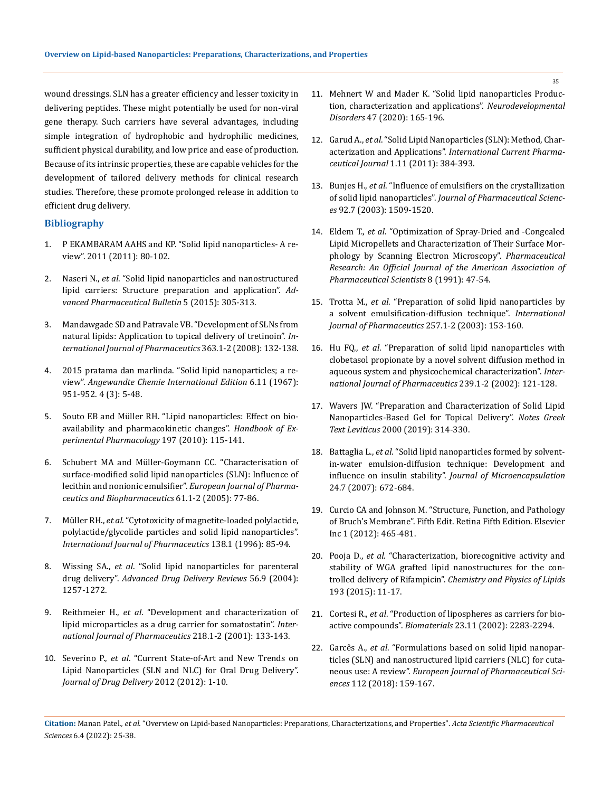wound dressings. SLN has a greater efficiency and lesser toxicity in delivering peptides. These might potentially be used for non-viral gene therapy. Such carriers have several advantages, including simple integration of hydrophobic and hydrophilic medicines, sufficient physical durability, and low price and ease of production. Because of its intrinsic properties, these are capable vehicles for the development of tailored delivery methods for clinical research studies. Therefore, these promote prolonged release in addition to efficient drug delivery.

## **Bibliography**

- 1. P EKAMBARAM AAHS and KP. "Solid lipid nanoparticles- A review". 2011 (2011): 80-102.
- 2. Naseri N., *et al*[. "Solid lipid nanoparticles and nanostructured](https://www.ncbi.nlm.nih.gov/pmc/articles/PMC4616893/)  [lipid carriers: Structure preparation and application".](https://www.ncbi.nlm.nih.gov/pmc/articles/PMC4616893/) *Ad[vanced Pharmaceutical Bulletin](https://www.ncbi.nlm.nih.gov/pmc/articles/PMC4616893/)* 5 (2015): 305-313.
- 3. [Mandawgade SD and Patravale VB. "Development of SLNs from](https://pubmed.ncbi.nlm.nih.gov/18657601/)  [natural lipids: Application to topical delivery of tretinoin".](https://pubmed.ncbi.nlm.nih.gov/18657601/) *In[ternational Journal of Pharmaceutics](https://pubmed.ncbi.nlm.nih.gov/18657601/)* 363.1-2 (2008): 132-138.
- 4. [2015 pratama dan marlinda. "Solid lipid nanoparticles; a re](https://www.tsijournals.com/articles/solid-lipid-nanoparticles-a-review.pdf)view". *[Angewandte Chemie International Edition](https://www.tsijournals.com/articles/solid-lipid-nanoparticles-a-review.pdf)* 6.11 (1967): [951-952. 4 \(3\): 5-48.](https://www.tsijournals.com/articles/solid-lipid-nanoparticles-a-review.pdf)
- 5. [Souto EB and Müller RH. "Lipid nanoparticles: Effect on bio](https://pubmed.ncbi.nlm.nih.gov/20217528/)[availability and pharmacokinetic changes".](https://pubmed.ncbi.nlm.nih.gov/20217528/) *Handbook of Ex[perimental Pharmacology](https://pubmed.ncbi.nlm.nih.gov/20217528/)* 197 (2010): 115-141.
- 6. [Schubert MA and Müller-Goymann CC. "Characterisation of](https://www.sciencedirect.com/science/article/abs/pii/S0939641105001529)  [surface-modified solid lipid nanoparticles \(SLN\): Influence of](https://www.sciencedirect.com/science/article/abs/pii/S0939641105001529)  lecithin and nonionic emulsifier". *[European Journal of Pharma](https://www.sciencedirect.com/science/article/abs/pii/S0939641105001529)[ceutics and Biopharmaceutics](https://www.sciencedirect.com/science/article/abs/pii/S0939641105001529)* 61.1-2 (2005): 77-86.
- 7. Müller RH., *et al*[. "Cytotoxicity of magnetite-loaded polylactide,](https://www.sciencedirect.com/science/article/abs/pii/0378517396045395)  [polylactide/glycolide particles and solid lipid nanoparticles".](https://www.sciencedirect.com/science/article/abs/pii/0378517396045395)  *[International Journal of Pharmaceutics](https://www.sciencedirect.com/science/article/abs/pii/0378517396045395)* 138.1 (1996): 85-94.
- 8. Wissing SA., *et al*[. "Solid lipid nanoparticles for parenteral](https://pubmed.ncbi.nlm.nih.gov/15109768/)  drug delivery". *[Advanced Drug Delivery Reviews](https://pubmed.ncbi.nlm.nih.gov/15109768/)* 56.9 (2004): [1257-1272.](https://pubmed.ncbi.nlm.nih.gov/15109768/)
- 9. Reithmeier H., *et al*[. "Development and characterization of](https://pubmed.ncbi.nlm.nih.gov/11337157/)  [lipid microparticles as a drug carrier for somatostatin".](https://pubmed.ncbi.nlm.nih.gov/11337157/) *Inter[national Journal of Pharmaceutics](https://pubmed.ncbi.nlm.nih.gov/11337157/)* 218.1-2 (2001): 133-143.
- 10. Severino P., *et al*[. "Current State-of-Art and New Trends on](https://pubmed.ncbi.nlm.nih.gov/22175030/)  [Lipid Nanoparticles \(SLN and NLC\) for Oral Drug Delivery".](https://pubmed.ncbi.nlm.nih.gov/22175030/)  *[Journal of Drug Delivery](https://pubmed.ncbi.nlm.nih.gov/22175030/)* 2012 (2012): 1-10.
- 11. [Mehnert W and Mader K. "Solid lipid nanoparticles Produc](https://pubmed.ncbi.nlm.nih.gov/11311991/)[tion, characterization and applications".](https://pubmed.ncbi.nlm.nih.gov/11311991/) *Neurodevelopmental Disorders* [47 \(2020\): 165-196.](https://pubmed.ncbi.nlm.nih.gov/11311991/)
- 12. Garud A., *et al*[. "Solid Lipid Nanoparticles \(SLN\): Method, Char](https://www.banglajol.info/index.php/ICPJ/article/view/12065)acterization and Applications". *[International Current Pharma](https://www.banglajol.info/index.php/ICPJ/article/view/12065)ceutical Journal* [1.11 \(2011\): 384-393.](https://www.banglajol.info/index.php/ICPJ/article/view/12065)
- 13. Bunjes H., *et al*[. "Influence of emulsifiers on the crystallization](https://pubmed.ncbi.nlm.nih.gov/12820155/)  of solid lipid nanoparticles". *[Journal of Pharmaceutical Scienc](https://pubmed.ncbi.nlm.nih.gov/12820155/)es* [92.7 \(2003\): 1509-1520.](https://pubmed.ncbi.nlm.nih.gov/12820155/)
- 14. Eldem T., *et al*[. "Optimization of Spray-Dried and -Congealed](https://pubmed.ncbi.nlm.nih.gov/2014208/)  [Lipid Micropellets and Characterization of Their Surface Mor](https://pubmed.ncbi.nlm.nih.gov/2014208/)[phology by Scanning Electron Microscopy".](https://pubmed.ncbi.nlm.nih.gov/2014208/) *Pharmaceutical [Research: An Official Journal of the American Association of](https://pubmed.ncbi.nlm.nih.gov/2014208/)  [Pharmaceutical Scientists](https://pubmed.ncbi.nlm.nih.gov/2014208/)* 8 (1991): 47-54.
- 15. Trotta M., *et al*[. "Preparation of solid lipid nanoparticles by](https://pubmed.ncbi.nlm.nih.gov/12711170/)  [a solvent emulsification-diffusion technique".](https://pubmed.ncbi.nlm.nih.gov/12711170/) *International [Journal of Pharmaceutics](https://pubmed.ncbi.nlm.nih.gov/12711170/)* 257.1-2 (2003): 153-160.
- 16. Hu FQ., *et al*[. "Preparation of solid lipid nanoparticles with](https://pubmed.ncbi.nlm.nih.gov/12052697/)  [clobetasol propionate by a novel solvent diffusion method in](https://pubmed.ncbi.nlm.nih.gov/12052697/)  [aqueous system and physicochemical characterization".](https://pubmed.ncbi.nlm.nih.gov/12052697/) *Inter[national Journal of Pharmaceutics](https://pubmed.ncbi.nlm.nih.gov/12052697/)* 239.1-2 (2002): 121-128.
- 17. Wavers JW. "Preparation and Characterization of Solid Lipid Nanoparticles-Based Gel for Topical Delivery". *Notes Greek Text Leviticus* 2000 (2019): 314-330.
- 18. Battaglia L., *et al*[. "Solid lipid nanoparticles formed by solvent](https://pubmed.ncbi.nlm.nih.gov/17763060/)[in-water emulsion-diffusion technique: Development and](https://pubmed.ncbi.nlm.nih.gov/17763060/)  influence on insulin stability". *[Journal of Microencapsulation](https://pubmed.ncbi.nlm.nih.gov/17763060/)*  [24.7 \(2007\): 672-684.](https://pubmed.ncbi.nlm.nih.gov/17763060/)
- 19. [Curcio CA and Johnson M. "Structure, Function, and Pathology](http://dx.doi.org/10.1016/B978-1-4557-0737-9.00020-5)  [of Bruch's Membrane". Fifth Edit. Retina Fifth Edition. Elsevier](http://dx.doi.org/10.1016/B978-1-4557-0737-9.00020-5)  [Inc 1 \(2012\): 465-481.](http://dx.doi.org/10.1016/B978-1-4557-0737-9.00020-5)
- 20. Pooja D., *et al*[. "Characterization, biorecognitive activity and](http://dx.doi.org/10.1016/j.chemphyslip.2015.09.008)  [stability of WGA grafted lipid nanostructures for the con](http://dx.doi.org/10.1016/j.chemphyslip.2015.09.008)trolled delivery of Rifampicin". *[Chemistry and Physics of Lipids](http://dx.doi.org/10.1016/j.chemphyslip.2015.09.008)*  [193 \(2015\): 11-17.](http://dx.doi.org/10.1016/j.chemphyslip.2015.09.008)
- 21. Cortesi R., *et al*[. "Production of lipospheres as carriers for bio](https://pubmed.ncbi.nlm.nih.gov/12013175/)active compounds". *Biomaterials* [23.11 \(2002\): 2283-2294.](https://pubmed.ncbi.nlm.nih.gov/12013175/)
- 22. Garcês A., *et al*[. "Formulations based on solid lipid nanopar](https://doi.org/10.1016/j.ejps.2017.11.023)[ticles \(SLN\) and nanostructured lipid carriers \(NLC\) for cuta](https://doi.org/10.1016/j.ejps.2017.11.023)neous use: A review". *[European Journal of Pharmaceutical Sci](https://doi.org/10.1016/j.ejps.2017.11.023)ences* [112 \(2018\): 159-167.](https://doi.org/10.1016/j.ejps.2017.11.023)

**Citation:** Manan Patel*., et al.* "Overview on Lipid-based Nanoparticles: Preparations, Characterizations, and Properties". *Acta Scientific Pharmaceutical Sciences* 6.4 (2022): 25-38.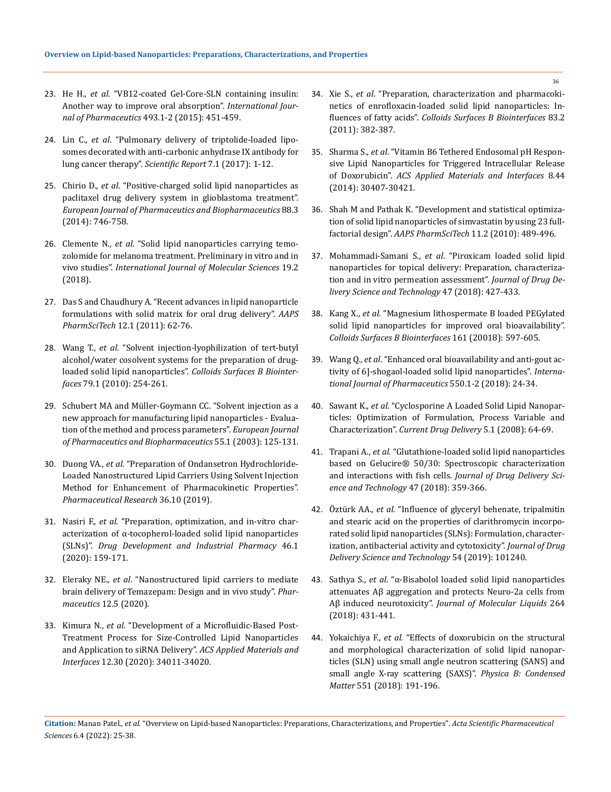- 23. He H., *et al*[. "VB12-coated Gel-Core-SLN containing insulin:](http://dx.doi.org/10.1016/j.ijpharm.2015.08.004)  [Another way to improve oral absorption".](http://dx.doi.org/10.1016/j.ijpharm.2015.08.004) *International Journal of Pharmaceutics* [493.1-2 \(2015\): 451-459.](http://dx.doi.org/10.1016/j.ijpharm.2015.08.004)
- 24. Lin C., *et al*[. "Pulmonary delivery of triptolide-loaded lipo](http://dx.doi.org/10.1038/s41598-017-00957-4)[somes decorated with anti-carbonic anhydrase IX antibody for](http://dx.doi.org/10.1038/s41598-017-00957-4)  [lung cancer therapy".](http://dx.doi.org/10.1038/s41598-017-00957-4) *Scientific Report* 7.1 (2017): 1-12.
- 25. Chirio D., *et al*[. "Positive-charged solid lipid nanoparticles as](http://dx.doi.org/10.1016/j.ejpb.2014.10.017)  [paclitaxel drug delivery system in glioblastoma treatment".](http://dx.doi.org/10.1016/j.ejpb.2014.10.017)  *[European Journal of Pharmaceutics and Biopharmaceutics](http://dx.doi.org/10.1016/j.ejpb.2014.10.017)* 88.3 [\(2014\): 746-758.](http://dx.doi.org/10.1016/j.ejpb.2014.10.017)
- 26. Clemente N., *et al*[. "Solid lipid nanoparticles carrying temo](https://www.ncbi.nlm.nih.gov/pmc/articles/PMC5855544/)[zolomide for melanoma treatment. Preliminary in vitro and in](https://www.ncbi.nlm.nih.gov/pmc/articles/PMC5855544/)  vivo studies". *[International Journal of Molecular Sciences](https://www.ncbi.nlm.nih.gov/pmc/articles/PMC5855544/)* 19.2 [\(2018\).](https://www.ncbi.nlm.nih.gov/pmc/articles/PMC5855544/)
- 27. [Das S and Chaudhury A. "Recent advances in lipid nanoparticle](https://pubmed.ncbi.nlm.nih.gov/21174180/)  [formulations with solid matrix for oral drug delivery".](https://pubmed.ncbi.nlm.nih.gov/21174180/) *AAPS PharmSciTech* [12.1 \(2011\): 62-76.](https://pubmed.ncbi.nlm.nih.gov/21174180/)
- 28. Wang T., *et al*[. "Solvent injection-lyophilization of tert-butyl](http://dx.doi.org/10.1016/j.colsurfb.2010.04.005)  [alcohol/water cosolvent systems for the preparation of drug](http://dx.doi.org/10.1016/j.colsurfb.2010.04.005)loaded solid lipid nanoparticles". *[Colloids Surfaces B Biointer](http://dx.doi.org/10.1016/j.colsurfb.2010.04.005)faces* [79.1 \(2010\): 254-261.](http://dx.doi.org/10.1016/j.colsurfb.2010.04.005)
- 29. [Schubert MA and Müller-Goymann CC. "Solvent injection as a](https://www.sciencedirect.com/science/article/abs/pii/S0939641102001303)  [new approach for manufacturing lipid nanoparticles - Evalua](https://www.sciencedirect.com/science/article/abs/pii/S0939641102001303)[tion of the method and process parameters".](https://www.sciencedirect.com/science/article/abs/pii/S0939641102001303) *European Journal [of Pharmaceutics and Biopharmaceutics](https://www.sciencedirect.com/science/article/abs/pii/S0939641102001303)* 55.1 (2003): 125-131.
- 30. Duong VA., *et al*[. "Preparation of Ondansetron Hydrochloride-](https://link.springer.com/article/10.1007/s11095-019-2672-x)[Loaded Nanostructured Lipid Carriers Using Solvent Injection](https://link.springer.com/article/10.1007/s11095-019-2672-x)  [Method for Enhancement of Pharmacokinetic Properties".](https://link.springer.com/article/10.1007/s11095-019-2672-x)  *[Pharmaceutical Research](https://link.springer.com/article/10.1007/s11095-019-2672-x)* 36.10 (2019).
- 31. Nasiri F., *et al*[. "Preparation, optimization, and in-vitro char](http://dx.doi.org/10.1080/03639045.2019.1711388)[acterization of α-tocopherol-loaded solid lipid nanoparticles](http://dx.doi.org/10.1080/03639045.2019.1711388)  (SLNs)". *[Drug Development and Industrial Pharmacy](http://dx.doi.org/10.1080/03639045.2019.1711388)* 46.1 [\(2020\): 159-171.](http://dx.doi.org/10.1080/03639045.2019.1711388)
- 32. Eleraky NE., *et al*[. "Nanostructured lipid carriers to mediate](https://www.ncbi.nlm.nih.gov/pmc/articles/PMC7284889/)  [brain delivery of Temazepam: Design and in vivo study".](https://www.ncbi.nlm.nih.gov/pmc/articles/PMC7284889/) *Pharmaceutics* [12.5 \(2020\).](https://www.ncbi.nlm.nih.gov/pmc/articles/PMC7284889/)
- 33. Kimura N., *et al*[. "Development of a Microfluidic-Based Post-](https://pubs.acs.org/doi/10.1021/acsami.0c05489)[Treatment Process for Size-Controlled Lipid Nanoparticles](https://pubs.acs.org/doi/10.1021/acsami.0c05489)  [and Application to siRNA Delivery".](https://pubs.acs.org/doi/10.1021/acsami.0c05489) *ACS Applied Materials and Interfaces* [12.30 \(2020\): 34011-34020.](https://pubs.acs.org/doi/10.1021/acsami.0c05489)
- 34. Xie S., *et al*[. "Preparation, characterization and pharmacoki](http://dx.doi.org/10.1016/j.colsurfb.2010.12.014)[netics of enrofloxacin-loaded solid lipid nanoparticles: In](http://dx.doi.org/10.1016/j.colsurfb.2010.12.014)fluences of fatty acids". *[Colloids Surfaces B Biointerfaces](http://dx.doi.org/10.1016/j.colsurfb.2010.12.014)* 83.2 [\(2011\): 382-387.](http://dx.doi.org/10.1016/j.colsurfb.2010.12.014)
- 35. Sharma S., *et al*[. "Vitamin B6 Tethered Endosomal pH Respon](https://pubmed.ncbi.nlm.nih.gov/27739306/)[sive Lipid Nanoparticles for Triggered Intracellular Release](https://pubmed.ncbi.nlm.nih.gov/27739306/)  of Doxorubicin". *[ACS Applied Materials and Interfaces](https://pubmed.ncbi.nlm.nih.gov/27739306/)* 8.44 [\(2014\): 30407-30421.](https://pubmed.ncbi.nlm.nih.gov/27739306/)
- 36. [Shah M and Pathak K. "Development and statistical optimiza](https://www.ncbi.nlm.nih.gov/pmc/articles/PMC2902350/)[tion of solid lipid nanoparticles of simvastatin by using 23 full](https://www.ncbi.nlm.nih.gov/pmc/articles/PMC2902350/)factorial design". *[AAPS PharmSciTech](https://www.ncbi.nlm.nih.gov/pmc/articles/PMC2902350/)* 11.2 (2010): 489-496.
- 37. Mohammadi-Samani S., *et al*[. "Piroxicam loaded solid lipid](https://doi.org/10.1016/j.jddst.2018.07.015)  [nanoparticles for topical delivery: Preparation, characteriza](https://doi.org/10.1016/j.jddst.2018.07.015)[tion and in vitro permeation assessment".](https://doi.org/10.1016/j.jddst.2018.07.015) *Journal of Drug De[livery Science and Technology](https://doi.org/10.1016/j.jddst.2018.07.015)* 47 (2018): 427-433.
- 38. Kang X., *et al*[. "Magnesium lithospermate B loaded PEGylated](http://dx.doi.org/10.1016/j.colsurfb.2017.11.008)  [solid lipid nanoparticles for improved oral bioavailability".](http://dx.doi.org/10.1016/j.colsurfb.2017.11.008)  *[Colloids Surfaces B Biointerfaces](http://dx.doi.org/10.1016/j.colsurfb.2017.11.008)* 161 (20018): 597-605.
- 39. Wang Q., *et al*[. "Enhanced oral bioavailability and anti-gout ac](https://doi.org/10.1016/j.ijpharm.2018.08.028)[tivity of 6\]-shogaol-loaded solid lipid nanoparticles".](https://doi.org/10.1016/j.ijpharm.2018.08.028) *Interna[tional Journal of Pharmaceutics](https://doi.org/10.1016/j.ijpharm.2018.08.028)* 550.1-2 (2018): 24-34.
- 40. Sawant K., *et al*[. "Cyclosporine A Loaded Solid Lipid Nanopar](https://pubmed.ncbi.nlm.nih.gov/18220553/)[ticles: Optimization of Formulation, Process Variable and](https://pubmed.ncbi.nlm.nih.gov/18220553/)  Characterization". *[Current Drug Delivery](https://pubmed.ncbi.nlm.nih.gov/18220553/)* 5.1 (2008): 64-69.
- 41. Trapani A., *et al*[. "Glutathione-loaded solid lipid nanoparticles](https://doi.org/10.1016/j.jddst.2018.08.013)  [based on Gelucire® 50/30: Spectroscopic characterization](https://doi.org/10.1016/j.jddst.2018.08.013)  and interactions with fish cells. *[Journal of Drug Delivery Sci](https://doi.org/10.1016/j.jddst.2018.08.013)[ence and Technology](https://doi.org/10.1016/j.jddst.2018.08.013)* 47 (2018): 359-366.
- 42. Öztürk AA., *et al*[. "Influence of glyceryl behenate, tripalmitin](https://doi.org/10.1016/j.jddst.2019.101240)  [and stearic acid on the properties of clarithromycin incorpo](https://doi.org/10.1016/j.jddst.2019.101240)[rated solid lipid nanoparticles \(SLNs\): Formulation, character](https://doi.org/10.1016/j.jddst.2019.101240)[ization, antibacterial activity and cytotoxicity".](https://doi.org/10.1016/j.jddst.2019.101240) *Journal of Drug [Delivery Science and Technology](https://doi.org/10.1016/j.jddst.2019.101240)* 54 (2019): 101240.
- 43. Sathya S., *et al*[. "α-Bisabolol loaded solid lipid nanoparticles](https://doi.org/10.1016/j.molliq.2018.05.075)  [attenuates Aβ aggregation and protects Neuro-2a cells from](https://doi.org/10.1016/j.molliq.2018.05.075)  Aβ induced neurotoxicity". *[Journal of Molecular Liquids](https://doi.org/10.1016/j.molliq.2018.05.075)* 264 [\(2018\): 431-441.](https://doi.org/10.1016/j.molliq.2018.05.075)
- 44. Yokaichiya F., *et al*[. "Effects of doxorubicin on the structural](https://doi.org/10.1016/j.physb.2017.12.036)  [and morphological characterization of solid lipid nanopar](https://doi.org/10.1016/j.physb.2017.12.036)[ticles \(SLN\) using small angle neutron scattering \(SANS\) and](https://doi.org/10.1016/j.physb.2017.12.036)  [small angle X-ray scattering \(SAXS\)".](https://doi.org/10.1016/j.physb.2017.12.036) *Physica B: Condensed Matter* [551 \(2018\): 191-196.](https://doi.org/10.1016/j.physb.2017.12.036)

**Citation:** Manan Patel*., et al.* "Overview on Lipid-based Nanoparticles: Preparations, Characterizations, and Properties". *Acta Scientific Pharmaceutical Sciences* 6.4 (2022): 25-38.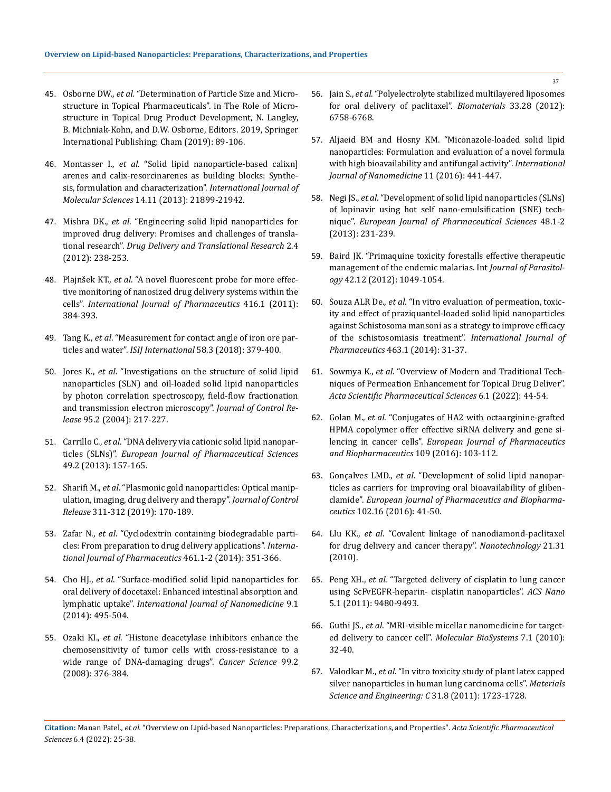- 45. Osborne DW., *et al*. "Determination of Particle Size and Microstructure in Topical Pharmaceuticals". in The Role of Microstructure in Topical Drug Product Development, N. Langley, B. Michniak-Kohn, and D.W. Osborne, Editors. 2019, Springer International Publishing: Cham (2019): 89-106.
- 46. Montasser I., *et al*[. "Solid lipid nanoparticle-based calixn\]](https://pubmed.ncbi.nlm.nih.gov/24196356/) [arenes and calix-resorcinarenes as building blocks: Synthe](https://pubmed.ncbi.nlm.nih.gov/24196356/)[sis, formulation and characterization".](https://pubmed.ncbi.nlm.nih.gov/24196356/) *International Journal of Molecular Sciences* [14.11 \(2013\): 21899-21942.](https://pubmed.ncbi.nlm.nih.gov/24196356/)
- 47. Mishra DK., *et al*[. "Engineering solid lipid nanoparticles for](https://pubmed.ncbi.nlm.nih.gov/25787030/)  [improved drug delivery: Promises and challenges of transla](https://pubmed.ncbi.nlm.nih.gov/25787030/)tional research". *[Drug Delivery and Translational Research](https://pubmed.ncbi.nlm.nih.gov/25787030/)* 2.4 [\(2012\): 238-253.](https://pubmed.ncbi.nlm.nih.gov/25787030/)
- 48. Plajnšek KT., *et al*[. "A novel fluorescent probe for more effec](https://www.sciencedirect.com/science/article/abs/pii/S0378517311005990)[tive monitoring of nanosized drug delivery systems within the](https://www.sciencedirect.com/science/article/abs/pii/S0378517311005990)  cells". *[International Journal of Pharmaceutics](https://www.sciencedirect.com/science/article/abs/pii/S0378517311005990)* 416.1 (2011): [384-393.](https://www.sciencedirect.com/science/article/abs/pii/S0378517311005990)
- 49. Tang K., *et al*[. "Measurement for contact angle of iron ore par](https://www.researchgate.net/publication/323818098_Measurement_for_Contact_Angle_of_Iron_Ore_Particles_and_Water)ticles and water". *ISIJ International* [58.3 \(2018\): 379-400.](https://www.researchgate.net/publication/323818098_Measurement_for_Contact_Angle_of_Iron_Ore_Particles_and_Water)
- 50. Jores K., *et al*[. "Investigations on the structure of solid lipid](https://pubmed.ncbi.nlm.nih.gov/14980770/)  [nanoparticles \(SLN\) and oil-loaded solid lipid nanoparticles](https://pubmed.ncbi.nlm.nih.gov/14980770/)  [by photon correlation spectroscopy, field-flow fractionation](https://pubmed.ncbi.nlm.nih.gov/14980770/)  [and transmission electron microscopy".](https://pubmed.ncbi.nlm.nih.gov/14980770/) *Journal of Control Release* [95.2 \(2004\): 217-227.](https://pubmed.ncbi.nlm.nih.gov/14980770/)
- 51. Carrillo C., *et al*[. "DNA delivery via cationic solid lipid nanopar](http://dx.doi.org/10.1016/j.ejps.2013.02.011)ticles (SLNs)". *[European Journal of Pharmaceutical Sciences](http://dx.doi.org/10.1016/j.ejps.2013.02.011)*  [49.2 \(2013\): 157-165.](http://dx.doi.org/10.1016/j.ejps.2013.02.011)
- 52. Sharifi M., *et al*[. "Plasmonic gold nanoparticles: Optical manip](https://www.sciencedirect.com/science/article/abs/pii/S0168365919305164)[ulation, imaging, drug delivery and therapy".](https://www.sciencedirect.com/science/article/abs/pii/S0168365919305164) *Journal of Control Release* [311-312 \(2019\): 170-189.](https://www.sciencedirect.com/science/article/abs/pii/S0168365919305164)
- 53. Zafar N., *et al*[. "Cyclodextrin containing biodegradable parti](http://dx.doi.org/10.1016/j.ijpharm.2013.12.004)[cles: From preparation to drug delivery applications".](http://dx.doi.org/10.1016/j.ijpharm.2013.12.004) *Interna[tional Journal of Pharmaceutics](http://dx.doi.org/10.1016/j.ijpharm.2013.12.004)* 461.1-2 (2014): 351-366.
- 54. Cho HJ., *et al*[. "Surface-modified solid lipid nanoparticles for](https://pubmed.ncbi.nlm.nih.gov/24531717/)  [oral delivery of docetaxel: Enhanced intestinal absorption and](https://pubmed.ncbi.nlm.nih.gov/24531717/)  lymphatic uptake". *[International Journal of Nanomedicine](https://pubmed.ncbi.nlm.nih.gov/24531717/)* 9.1 [\(2014\): 495-504.](https://pubmed.ncbi.nlm.nih.gov/24531717/)
- 55. Ozaki KI., *et al*[. "Histone deacetylase inhibitors enhance the](https://pubmed.ncbi.nlm.nih.gov/18201278/)  [chemosensitivity of tumor cells with cross-resistance to a](https://pubmed.ncbi.nlm.nih.gov/18201278/)  [wide range of DNA-damaging drugs".](https://pubmed.ncbi.nlm.nih.gov/18201278/) *Cancer Science* 99.2 [\(2008\): 376-384.](https://pubmed.ncbi.nlm.nih.gov/18201278/)
- 56. Jain S., *et al*[. "Polyelectrolyte stabilized multilayered liposomes](http://dx.doi.org/10.1016/j.biomaterials.2012.05.026)  [for oral delivery of paclitaxel".](http://dx.doi.org/10.1016/j.biomaterials.2012.05.026) *Biomaterials* 33.28 (2012): [6758-6768.](http://dx.doi.org/10.1016/j.biomaterials.2012.05.026)
- 57. [Aljaeid BM and Hosny KM. "Miconazole-loaded solid lipid](https://pubmed.ncbi.nlm.nih.gov/26869787/)  [nanoparticles: Formulation and evaluation of a novel formula](https://pubmed.ncbi.nlm.nih.gov/26869787/)  [with high bioavailability and antifungal activity".](https://pubmed.ncbi.nlm.nih.gov/26869787/) *International [Journal of Nanomedicine](https://pubmed.ncbi.nlm.nih.gov/26869787/)* 11 (2016): 441-447.
- 58. Negi JS., *et al*[. "Development of solid lipid nanoparticles \(SLNs\)](http://dx.doi.org/10.1016/j.ejps.2012.10.022)  [of lopinavir using hot self nano-emulsification \(SNE\) tech](http://dx.doi.org/10.1016/j.ejps.2012.10.022)nique". *[European Journal of Pharmaceutical Sciences](http://dx.doi.org/10.1016/j.ejps.2012.10.022)* 48.1-2 [\(2013\): 231-239.](http://dx.doi.org/10.1016/j.ejps.2012.10.022)
- 59. [Baird JK. "Primaquine toxicity forestalls effective therapeutic](http://dx.doi.org/10.1016/j.ijpara.2012.06.006)  [management of the endemic malarias. Int](http://dx.doi.org/10.1016/j.ijpara.2012.06.006) *Journal of Parasitology* [42.12 \(2012\): 1049-1054.](http://dx.doi.org/10.1016/j.ijpara.2012.06.006)
- 60. Souza ALR De., *et al*[. "In vitro evaluation of permeation, toxic](http://dx.doi.org/10.1016/j.ijpharm.2013.12.022)[ity and effect of praziquantel-loaded solid lipid nanoparticles](http://dx.doi.org/10.1016/j.ijpharm.2013.12.022)  [against Schistosoma mansoni as a strategy to improve efficacy](http://dx.doi.org/10.1016/j.ijpharm.2013.12.022)  [of the schistosomiasis treatment".](http://dx.doi.org/10.1016/j.ijpharm.2013.12.022) *International Journal of Pharmaceutics* [463.1 \(2014\): 31-37.](http://dx.doi.org/10.1016/j.ijpharm.2013.12.022)
- 61. Sowmya K., *et al*[. "Overview of Modern and Traditional Tech](https://www.researchgate.net/publication/357589424_Overview_of_Modern_and_Traditional_Techniques_of_Permeation_Enhancement_for_Topical_Drug_Deliver)[niques of Permeation Enhancement for Topical Drug Deliver".](https://www.researchgate.net/publication/357589424_Overview_of_Modern_and_Traditional_Techniques_of_Permeation_Enhancement_for_Topical_Drug_Deliver)  *[Acta Scientific Pharmaceutical Sciences](https://www.researchgate.net/publication/357589424_Overview_of_Modern_and_Traditional_Techniques_of_Permeation_Enhancement_for_Topical_Drug_Deliver)* 6.1 (2022): 44-54.
- 62. Golan M., *et al*[. "Conjugates of HA2 with octaarginine-grafted](http://dx.doi.org/10.1016/j.ejpb.2016.09.017)  [HPMA copolymer offer effective siRNA delivery and gene si](http://dx.doi.org/10.1016/j.ejpb.2016.09.017)lencing in cancer cells". *[European Journal of Pharmaceutics](http://dx.doi.org/10.1016/j.ejpb.2016.09.017)  [and Biopharmaceutics](http://dx.doi.org/10.1016/j.ejpb.2016.09.017)* 109 (2016): 103-112.
- 63. Gonçalves LMD., *et al*[. "Development of solid lipid nanopar](http://dx.doi.org/10.1016/j.ejpb.2016.02.012)[ticles as carriers for improving oral bioavailability of gliben](http://dx.doi.org/10.1016/j.ejpb.2016.02.012)clamide". *[European Journal of Pharmaceutics and Biopharma](http://dx.doi.org/10.1016/j.ejpb.2016.02.012)ceutics* [102.16 \(2016\): 41-50.](http://dx.doi.org/10.1016/j.ejpb.2016.02.012)
- 64. Llu KK., *et al*[. "Covalent linkage of nanodiamond-paclitaxel](https://pubmed.ncbi.nlm.nih.gov/20634575/)  [for drug delivery and cancer therapy".](https://pubmed.ncbi.nlm.nih.gov/20634575/) *Nanotechnology* 21.31 [\(2010\).](https://pubmed.ncbi.nlm.nih.gov/20634575/)
- 65. Peng XH., *et al*[. "Targeted delivery of cisplatin to lung cancer](https://pubs.acs.org/doi/10.1021/nn202410f)  [using ScFvEGFR-heparin- cisplatin nanoparticles".](https://pubs.acs.org/doi/10.1021/nn202410f) *ACS Nano* [5.1 \(2011\): 9480-9493.](https://pubs.acs.org/doi/10.1021/nn202410f)
- 66. Guthi JS., *et al*[. "MRI-visible micellar nanomedicine for target](https://pubs.acs.org/doi/10.1021/mp9001393)[ed delivery to cancer cell".](https://pubs.acs.org/doi/10.1021/mp9001393) *Molecular BioSystems* 7.1 (2010): [32-40.](https://pubs.acs.org/doi/10.1021/mp9001393)
- 67. Valodkar M., *et al*[. "In vitro toxicity study of plant latex capped](http://dx.doi.org/10.1016/j.msec.2011.08.001)  [silver nanoparticles in human lung carcinoma cells".](http://dx.doi.org/10.1016/j.msec.2011.08.001) *Materials [Science and Engineering: C](http://dx.doi.org/10.1016/j.msec.2011.08.001)* 31.8 (2011): 1723-1728.